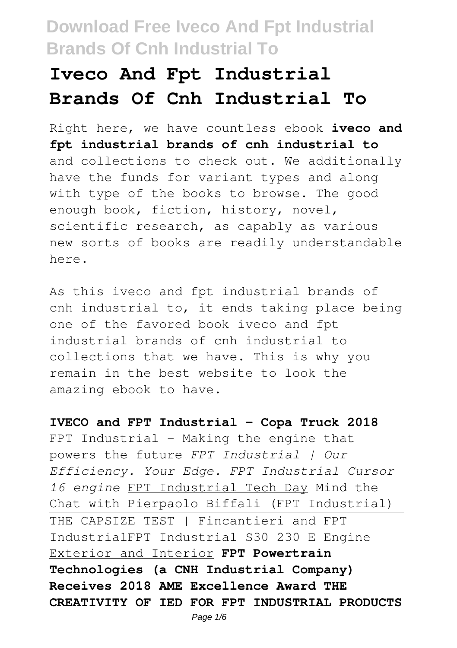# **Iveco And Fpt Industrial Brands Of Cnh Industrial To**

Right here, we have countless ebook **iveco and fpt industrial brands of cnh industrial to** and collections to check out. We additionally have the funds for variant types and along with type of the books to browse. The good enough book, fiction, history, novel, scientific research, as capably as various new sorts of books are readily understandable here.

As this iveco and fpt industrial brands of cnh industrial to, it ends taking place being one of the favored book iveco and fpt industrial brands of cnh industrial to collections that we have. This is why you remain in the best website to look the amazing ebook to have.

**IVECO and FPT Industrial - Copa Truck 2018** FPT Industrial - Making the engine that powers the future *FPT Industrial | Our Efficiency. Your Edge. FPT Industrial Cursor 16 engine* FPT Industrial Tech Day Mind the Chat with Pierpaolo Biffali (FPT Industrial) THE CAPSIZE TEST | Fincantieri and FPT IndustrialFPT Industrial S30 230 E Engine Exterior and Interior **FPT Powertrain Technologies (a CNH Industrial Company) Receives 2018 AME Excellence Award THE CREATIVITY OF IED FOR FPT INDUSTRIAL PRODUCTS**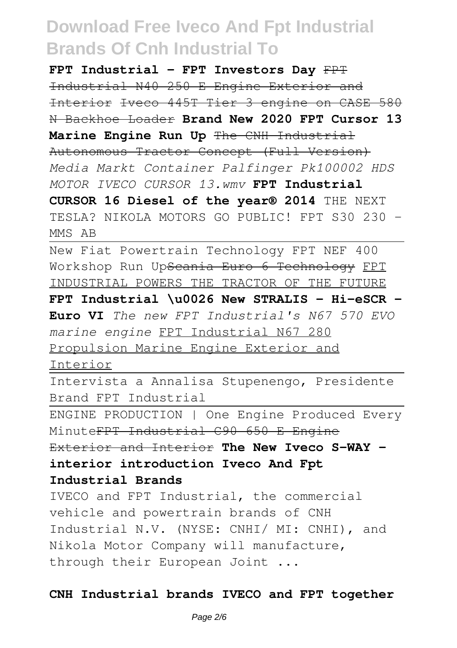**FPT Industrial - FPT Investors Day** FPT Industrial N40 250 E Engine Exterior and Interior Iveco 445T Tier 3 engine on CASE 580 N Backhoe Loader **Brand New 2020 FPT Cursor 13 Marine Engine Run Up** The CNH Industrial Autonomous Tractor Concept (Full Version) *Media Markt Container Palfinger Pk100002 HDS MOTOR IVECO CURSOR 13.wmv* **FPT Industrial CURSOR 16 Diesel of the year® 2014** THE NEXT TESLA? NIKOLA MOTORS GO PUBLIC! FPT S30 230 - MMS AB

New Fiat Powertrain Technology FPT NEF 400 Workshop Run Up<del>Scania Euro 6 Technology</del> FPT INDUSTRIAL POWERS THE TRACTOR OF THE FUTURE **FPT Industrial \u0026 New STRALIS - Hi-eSCR - Euro VI** *The new FPT Industrial's N67 570 EVO marine engine* FPT Industrial N67 280 Propulsion Marine Engine Exterior and

Interior

Intervista a Annalisa Stupenengo, Presidente Brand FPT Industrial

ENGINE PRODUCTION | One Engine Produced Every MinuteFPT Industrial C90 650 E Engine

Exterior and Interior **The New Iveco S-WAY interior introduction Iveco And Fpt Industrial Brands**

IVECO and FPT Industrial, the commercial vehicle and powertrain brands of CNH Industrial N.V. (NYSE: CNHI/ MI: CNHI), and Nikola Motor Company will manufacture, through their European Joint ...

#### **CNH Industrial brands IVECO and FPT together**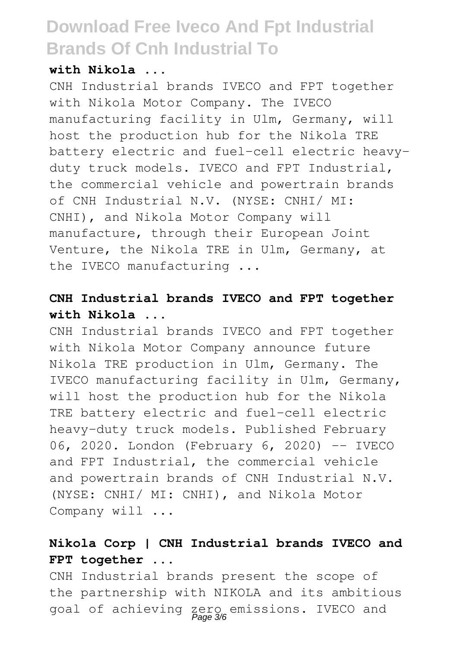#### **with Nikola ...**

CNH Industrial brands IVECO and FPT together with Nikola Motor Company. The IVECO manufacturing facility in Ulm, Germany, will host the production hub for the Nikola TRE battery electric and fuel-cell electric heavyduty truck models. IVECO and FPT Industrial, the commercial vehicle and powertrain brands of CNH Industrial N.V. (NYSE: CNHI/ MI: CNHI), and Nikola Motor Company will manufacture, through their European Joint Venture, the Nikola TRE in Ulm, Germany, at the IVECO manufacturing ...

### **CNH Industrial brands IVECO and FPT together with Nikola ...**

CNH Industrial brands IVECO and FPT together with Nikola Motor Company announce future Nikola TRE production in Ulm, Germany. The IVECO manufacturing facility in Ulm, Germany, will host the production hub for the Nikola TRE battery electric and fuel-cell electric heavy-duty truck models. Published February 06, 2020. London (February 6, 2020) -- IVECO and FPT Industrial, the commercial vehicle and powertrain brands of CNH Industrial N.V. (NYSE: CNHI/ MI: CNHI), and Nikola Motor Company will ...

## **Nikola Corp | CNH Industrial brands IVECO and FPT together ...**

CNH Industrial brands present the scope of the partnership with NIKOLA and its ambitious goal of achieving zero emissions. IVECO and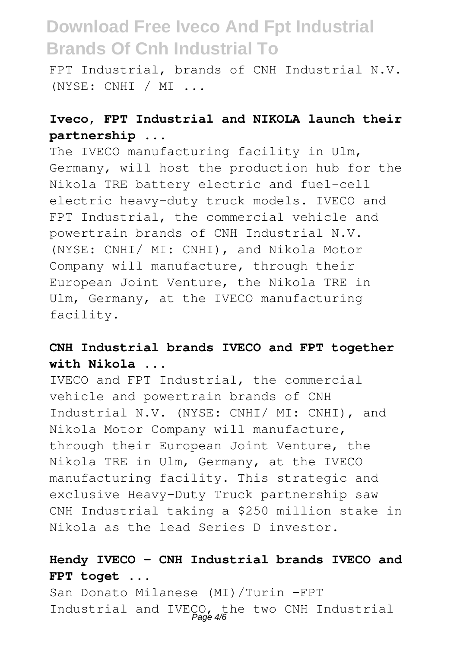FPT Industrial, brands of CNH Industrial N.V. (NYSE: CNHI / MI ...

## **Iveco, FPT Industrial and NIKOLA launch their partnership ...**

The IVECO manufacturing facility in Ulm, Germany, will host the production hub for the Nikola TRE battery electric and fuel-cell electric heavy-duty truck models. IVECO and FPT Industrial, the commercial vehicle and powertrain brands of CNH Industrial N.V. (NYSE: CNHI/ MI: CNHI), and Nikola Motor Company will manufacture, through their European Joint Venture, the Nikola TRE in Ulm, Germany, at the IVECO manufacturing facility.

### **CNH Industrial brands IVECO and FPT together with Nikola ...**

IVECO and FPT Industrial, the commercial vehicle and powertrain brands of CNH Industrial N.V. (NYSE: CNHI/ MI: CNHI), and Nikola Motor Company will manufacture, through their European Joint Venture, the Nikola TRE in Ulm, Germany, at the IVECO manufacturing facility. This strategic and exclusive Heavy-Duty Truck partnership saw CNH Industrial taking a \$250 million stake in Nikola as the lead Series D investor.

### **Hendy IVECO - CNH Industrial brands IVECO and FPT toget ...**

San Donato Milanese (MI)/Turin –FPT Industrial and IVECO, the two CNH Industrial Page 4/6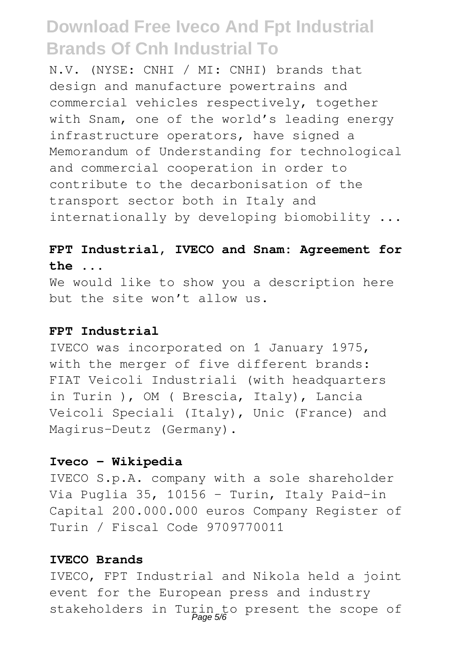N.V. (NYSE: CNHI / MI: CNHI) brands that design and manufacture powertrains and commercial vehicles respectively, together with Snam, one of the world's leading energy infrastructure operators, have signed a Memorandum of Understanding for technological and commercial cooperation in order to contribute to the decarbonisation of the transport sector both in Italy and internationally by developing biomobility ...

#### **FPT Industrial, IVECO and Snam: Agreement for the ...**

We would like to show you a description here but the site won't allow us.

#### **FPT Industrial**

IVECO was incorporated on 1 January 1975, with the merger of five different brands: FIAT Veicoli Industriali (with headquarters in Turin ), OM ( Brescia, Italy), Lancia Veicoli Speciali (Italy), Unic (France) and Magirus-Deutz (Germany).

#### **Iveco - Wikipedia**

IVECO S.p.A. company with a sole shareholder Via Puglia 35, 10156 - Turin, Italy Paid-in Capital 200.000.000 euros Company Register of Turin / Fiscal Code 9709770011

#### **IVECO Brands**

IVECO, FPT Industrial and Nikola held a joint event for the European press and industry stakeholders in Turin to present the scope of